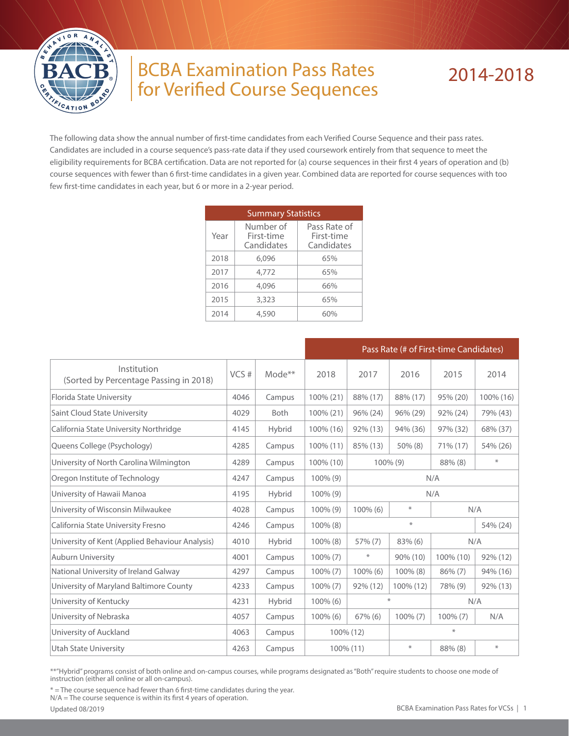

## BCBA Examination Pass Rates for Verified Course Sequences

## 2014-2018

The following data show the annual number of first-time candidates from each Verified Course Sequence and their pass rates. Candidates are included in a course sequence's pass-rate data if they used coursework entirely from that sequence to meet the eligibility requirements for BCBA certification. Data are not reported for (a) course sequences in their first 4 years of operation and (b) course sequences with fewer than 6 first-time candidates in a given year. Combined data are reported for course sequences with too few first-time candidates in each year, but 6 or more in a 2-year period.

|      | <b>Summary Statistics</b>             |                                          |
|------|---------------------------------------|------------------------------------------|
| Year | Number of<br>First-time<br>Candidates | Pass Rate of<br>First-time<br>Candidates |
| 2018 | 6.096                                 | 65%                                      |
| 2017 | 4,772                                 | 65%                                      |
| 2016 | 4,096                                 | 66%                                      |
| 2015 | 3,323                                 | 65%                                      |
| 2014 | 4,590                                 |                                          |

|                                                       |      |                    |             |                                  | Pass Rate (# of First-time Candidates) |             |             |  |  |
|-------------------------------------------------------|------|--------------------|-------------|----------------------------------|----------------------------------------|-------------|-------------|--|--|
| Institution<br>(Sorted by Percentage Passing in 2018) | VCS# | Mode <sup>**</sup> | 2018        | 2017                             | 2016                                   | 2015        | 2014        |  |  |
| Florida State University                              | 4046 | Campus             | 100% (21)   | 88% (17)                         | 88% (17)                               | 95% (20)    | 100% (16)   |  |  |
| Saint Cloud State University                          | 4029 | <b>Both</b>        | 100% (21)   | 96% (24)                         | 96% (29)                               | 92% (24)    | 79% (43)    |  |  |
| California State University Northridge                | 4145 | <b>Hybrid</b>      | 100% (16)   | $92\%$ (13)                      | 94% (36)                               | 97% (32)    | 68% (37)    |  |  |
| Queens College (Psychology)                           | 4285 | Campus             | 100% (11)   | 85% (13)                         | $50\%$ (8)                             | 71% (17)    | 54% (26)    |  |  |
| University of North Carolina Wilmington               | 4289 | Campus             | 100% (10)   | $\ast$<br>88% (8)<br>$100\%$ (9) |                                        |             |             |  |  |
| Oregon Institute of Technology                        | 4247 | Campus             | $100\%$ (9) | N/A                              |                                        |             |             |  |  |
| University of Hawaii Manoa                            | 4195 | Hybrid             | $100\%$ (9) | N/A                              |                                        |             |             |  |  |
| University of Wisconsin Milwaukee                     | 4028 | Campus             | 100% (9)    | ⋇<br>100% (6)<br>N/A             |                                        |             |             |  |  |
| California State University Fresno                    | 4246 | Campus             | 100% (8)    |                                  | $\ast$                                 |             | 54% (24)    |  |  |
| University of Kent (Applied Behaviour Analysis)       | 4010 | Hybrid             | $100\%$ (8) | 57% (7)                          | $83\%$ (6)                             |             | N/A         |  |  |
| <b>Auburn University</b>                              | 4001 | Campus             | $100\%$ (7) | $\ast$                           | 90% (10)                               | 100% (10)   | 92% (12)    |  |  |
| National University of Ireland Galway                 | 4297 | Campus             | $100\% (7)$ | 100% (6)                         | 100% (8)                               | $86\%$ (7)  | 94% (16)    |  |  |
| University of Maryland Baltimore County               | 4233 | Campus             | $100\% (7)$ | 92% (12)                         | 100% (12)                              | 78% (9)     | $92\%$ (13) |  |  |
| University of Kentucky                                | 4231 | Hybrid             | $100\%$ (6) | $\ast$<br>N/A                    |                                        |             |             |  |  |
| University of Nebraska                                | 4057 | Campus             | 100% (6)    | $67\%$ (6)                       | $100\% (7)$                            | $100\% (7)$ | N/A         |  |  |
| University of Auckland                                | 4063 | Campus             | 100% (12)   |                                  |                                        | $\ast$      |             |  |  |
| <b>Utah State University</b>                          | 4263 | Campus             | 100% (11)   |                                  | $\ast$                                 | 88% (8)     | ∗           |  |  |

\*\*"Hybrid" programs consist of both online and on-campus courses, while programs designated as "Both" require students to choose one mode of instruction (either all online or all on-campus).

\* = The course sequence had fewer than 6 first-time candidates during the year.

N/A = The course sequence is within its first 4 years of operation.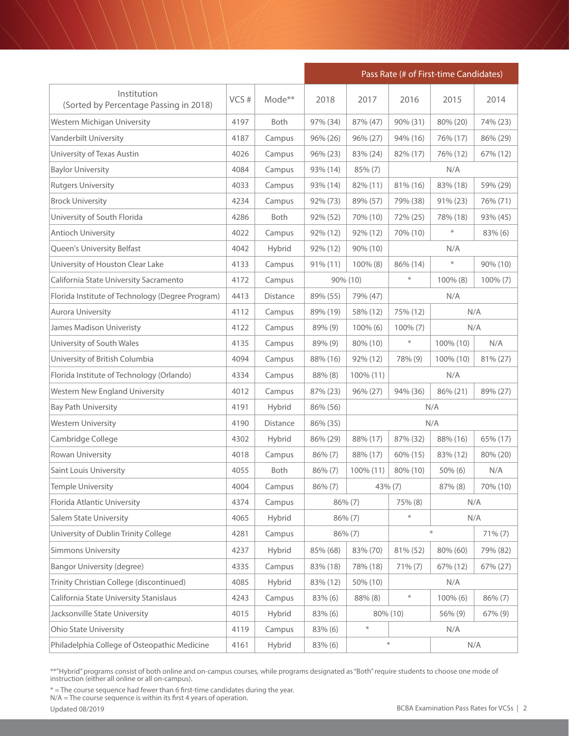|                                                       |      |             | Pass Rate (# of First-time Candidates) |           |             |                         |            |
|-------------------------------------------------------|------|-------------|----------------------------------------|-----------|-------------|-------------------------|------------|
| Institution<br>(Sorted by Percentage Passing in 2018) | VCS# | Mode**      | 2018                                   | 2017      | 2016        | 2015                    | 2014       |
| Western Michigan University                           | 4197 | <b>Both</b> | 97% (34)                               | 87% (47)  | 90% (31)    | 80% (20)                | 74% (23)   |
| Vanderbilt University                                 | 4187 | Campus      | 96% (26)                               | 96% (27)  | 94% (16)    | 76% (17)                | 86% (29)   |
| University of Texas Austin                            | 4026 | Campus      | 96% (23)                               | 83% (24)  | 82% (17)    | 76% (12)                | 67% (12)   |
| <b>Baylor University</b>                              | 4084 | Campus      | 93% (14)                               | 85% (7)   |             | N/A                     |            |
| <b>Rutgers University</b>                             | 4033 | Campus      | 93% (14)                               | 82% (11)  | 81% (16)    | 83% (18)                | 59% (29)   |
| <b>Brock University</b>                               | 4234 | Campus      | 92% (73)                               | 89% (57)  | 79% (38)    | 91% (23)                | 76% (71)   |
| University of South Florida                           | 4286 | Both        | 92% (52)                               | 70% (10)  | 72% (25)    | 78% (18)                | 93% (45)   |
| <b>Antioch University</b>                             | 4022 | Campus      | 92% (12)                               | 92% (12)  | 70% (10)    | $\ast$                  | 83% (6)    |
| Queen's University Belfast                            | 4042 | Hybrid      | 92% (12)                               | 90% (10)  |             | N/A                     |            |
| University of Houston Clear Lake                      | 4133 | Campus      | $91\% (11)$                            | 100% (8)  | 86% (14)    | $\ast$                  | 90% (10)   |
| California State University Sacramento                | 4172 | Campus      |                                        | 90% (10)  | $\ast$      | 100% (8)<br>$100\% (7)$ |            |
| Florida Institute of Technology (Degree Program)      | 4413 | Distance    | 89% (55)                               | 79% (47)  |             | N/A                     |            |
| Aurora University                                     | 4112 | Campus      | 89% (19)                               | 58% (12)  | 75% (12)    | N/A                     |            |
| <b>James Madison Univeristy</b>                       | 4122 | Campus      | 89% (9)                                | 100% (6)  | $100\% (7)$ | N/A                     |            |
| University of South Wales                             | 4135 | Campus      | 89% (9)                                | 80% (10)  | $\ast$      | 100% (10)               | N/A        |
| University of British Columbia                        | 4094 | Campus      | 88% (16)                               | 92% (12)  | 78% (9)     | 100% (10)               | 81% (27)   |
| Florida Institute of Technology (Orlando)             | 4334 | Campus      | 88% (8)                                | 100% (11) | N/A         |                         |            |
| <b>Western New England University</b>                 | 4012 | Campus      | 87% (23)                               | 96% (27)  | 94% (36)    | 86% (21)                | 89% (27)   |
| <b>Bay Path University</b>                            | 4191 | Hybrid      | 86% (56)                               |           |             | N/A                     |            |
| <b>Western University</b>                             | 4190 | Distance    | 86% (35)                               |           |             | N/A                     |            |
| Cambridge College                                     | 4302 | Hybrid      | 86% (29)                               | 88% (17)  | 87% (32)    | 88% (16)                | 65% (17)   |
| Rowan University                                      | 4018 | Campus      | 86% (7)                                | 88% (17)  | 60% (15)    | 83% (12)                | 80% (20)   |
| Saint Louis University                                | 4055 | Both        | $86\%$ $(7)$                           | 100% (11) | 80% (10)    | 50% (6)                 | N/A        |
| Temple University                                     | 4004 | Campus      | $86\% (7)$                             | 43% (7)   |             | 87% (8)                 | 70% (10)   |
| Florida Atlantic University                           | 4374 | Campus      |                                        | 86% (7)   | 75% (8)     | N/A                     |            |
| Salem State University                                | 4065 | Hybrid      |                                        | 86% (7)   | $\ast$      | N/A                     |            |
| University of Dublin Trinity College                  | 4281 | Campus      |                                        | 86% (7)   |             | $\ast$                  | $71\% (7)$ |
| <b>Simmons University</b>                             | 4237 | Hybrid      | 85% (68)                               | 83% (70)  | 81% (52)    | 80% (60)                | 79% (82)   |
| <b>Bangor University (degree)</b>                     | 4335 | Campus      | 83% (18)                               | 78% (18)  | $71\% (7)$  | 67% (12)                | 67% (27)   |
| Trinity Christian College (discontinued)              | 4085 | Hybrid      | 83% (12)                               | 50% (10)  |             | N/A                     |            |
| California State University Stanislaus                | 4243 | Campus      | 83% (6)                                | 88% (8)   | $\ast$      | 100% (6)                | 86% (7)    |
| Jacksonville State University                         | 4015 | Hybrid      | 83% (6)                                |           | 80% (10)    | 56% (9)                 | 67% (9)    |
| Ohio State University                                 | 4119 | Campus      | 83% (6)                                | $\ast$    |             | N/A                     |            |
| Philadelphia College of Osteopathic Medicine          | 4161 | Hybrid      | 83% (6)                                |           | $\ast$      | N/A                     |            |

\* = The course sequence had fewer than 6 first-time candidates during the year.

N/A = The course sequence is within its first 4 years of operation.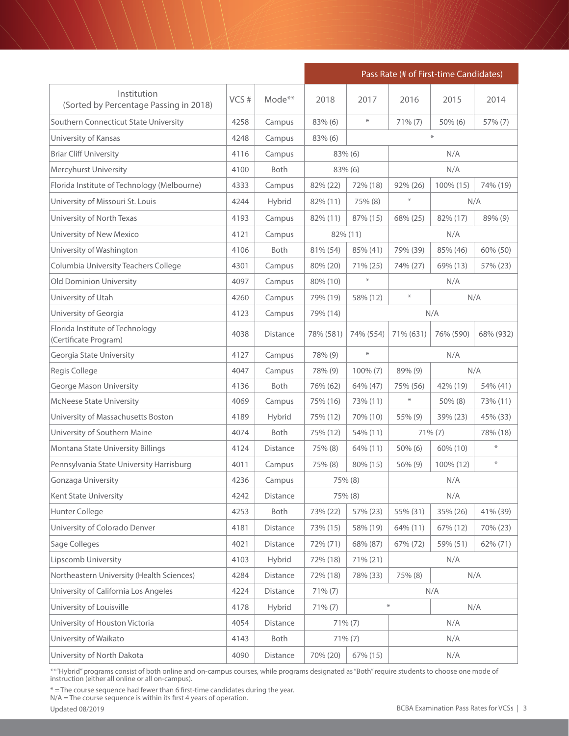|                                                          |      |                 | Pass Rate (# of First-time Candidates) |             |           |                      |           |
|----------------------------------------------------------|------|-----------------|----------------------------------------|-------------|-----------|----------------------|-----------|
| Institution<br>(Sorted by Percentage Passing in 2018)    | VCS# | Mode**          | 2018                                   | 2017        | 2016      | 2015                 | 2014      |
| Southern Connecticut State University                    | 4258 | Campus          | 83% (6)                                | $\ast$      | 71% (7)   | $50\%$ (6)           | 57% (7)   |
| University of Kansas                                     | 4248 | Campus          | $83\%$ (6)                             |             |           | $\ast$               |           |
| <b>Briar Cliff University</b>                            | 4116 | Campus          |                                        | 83% (6)     |           | N/A                  |           |
| Mercyhurst University                                    | 4100 | Both            |                                        | 83% (6)     |           | N/A                  |           |
| Florida Institute of Technology (Melbourne)              | 4333 | Campus          | 82% (22)                               | 72% (18)    | 92% (26)  | 100% (15)            | 74% (19)  |
| University of Missouri St. Louis                         | 4244 | Hybrid          | 82% (11)                               | 75% (8)     | ⋇         | N/A                  |           |
| University of North Texas                                | 4193 | Campus          | 82% (11)                               | 87% (15)    | 68% (25)  | 82% (17)             | 89% (9)   |
| University of New Mexico                                 | 4121 | Campus          |                                        | 82% (11)    |           | N/A                  |           |
| University of Washington                                 | 4106 | <b>Both</b>     | 81% (54)                               | 85% (41)    | 79% (39)  | 85% (46)<br>60% (50) |           |
| Columbia University Teachers College                     | 4301 | Campus          | 80% (20)                               | 71% (25)    | 74% (27)  | 69% (13)             | 57% (23)  |
| <b>Old Dominion University</b>                           | 4097 | Campus          | 80% (10)                               | $\ast$      |           | N/A                  |           |
| University of Utah                                       | 4260 | Campus          | 79% (19)                               | 58% (12)    | $\ast$    | N/A                  |           |
| University of Georgia                                    | 4123 | Campus          | 79% (14)                               |             | N/A       |                      |           |
| Florida Institute of Technology<br>(Certificate Program) | 4038 | <b>Distance</b> | 78% (581)                              | 74% (554)   | 71% (631) | 76% (590)            | 68% (932) |
| Georgia State University                                 | 4127 | Campus          | 78% (9)                                | $\ast$      | N/A       |                      |           |
| Regis College                                            | 4047 | Campus          | 78% (9)                                | $100\%$ (7) | 89% (9)   | N/A                  |           |
| <b>George Mason University</b>                           | 4136 | <b>Both</b>     | 76% (62)                               | 64% (47)    | 75% (56)  | 42% (19)             | 54% (41)  |
| <b>McNeese State University</b>                          | 4069 | Campus          | 75% (16)                               | 73% (11)    | $\ast$    | 50% (8)              | 73% (11)  |
| University of Massachusetts Boston                       | 4189 | Hybrid          | 75% (12)                               | 70% (10)    | 55% (9)   | 39% (23)             | 45% (33)  |
| University of Southern Maine                             | 4074 | <b>Both</b>     | 75% (12)                               | 54% (11)    |           | 71% (7)              | 78% (18)  |
| Montana State University Billings                        | 4124 | Distance        | 75% (8)                                | 64% (11)    | 50% (6)   | 60% (10)             | ⋇         |
| Pennsylvania State University Harrisburg                 | 4011 | Campus          | 75% (8)                                | 80% (15)    | 56% (9)   | 100% (12)            | $\ast$    |
| Gonzaga University                                       | 4236 | Campus          |                                        | 75% (8)     |           | N/A                  |           |
| Kent State University                                    | 4242 | Distance        |                                        | 75% (8)     |           | N/A                  |           |
| Hunter College                                           | 4253 | Both            | 73% (22)                               | 57% (23)    | 55% (31)  | 35% (26)             | 41% (39)  |
| University of Colorado Denver                            | 4181 | Distance        | 73% (15)                               | 58% (19)    | 64% (11)  | 67% (12)             | 70% (23)  |
| Sage Colleges                                            | 4021 | <b>Distance</b> | 72% (71)                               | 68% (87)    | 67% (72)  | 59% (51)             | 62% (71)  |
| Lipscomb University                                      | 4103 | Hybrid          | 72% (18)                               | 71% (21)    |           | N/A                  |           |
| Northeastern University (Health Sciences)                | 4284 | Distance        | 72% (18)                               | 78% (33)    | 75% (8)   |                      | N/A       |
| University of California Los Angeles                     | 4224 | Distance        | $71\% (7)$                             |             |           | N/A                  |           |
| University of Louisville                                 | 4178 | Hybrid          | 71% (7)                                |             | $\ast$    |                      | N/A       |
| University of Houston Victoria                           | 4054 | Distance        |                                        | $71\% (7)$  |           | N/A                  |           |
| University of Waikato                                    | 4143 | Both            |                                        | 71% (7)     |           | N/A                  |           |
| University of North Dakota                               | 4090 | Distance        | 70% (20)                               | 67% (15)    |           | N/A                  |           |

\* = The course sequence had fewer than 6 first-time candidates during the year.

N/A = The course sequence is within its first 4 years of operation.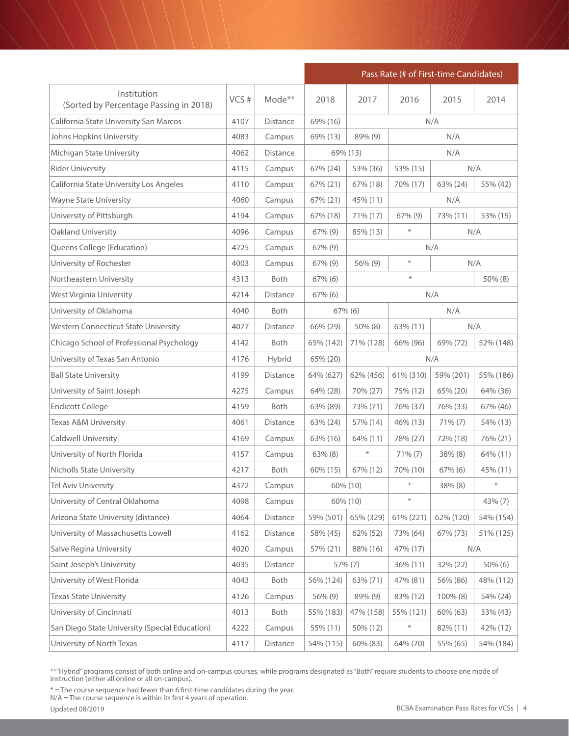|                                                       |      |                 | Pass Rate (# of First-time Candidates) |           |           |             |           |  |
|-------------------------------------------------------|------|-----------------|----------------------------------------|-----------|-----------|-------------|-----------|--|
| Institution<br>(Sorted by Percentage Passing in 2018) | VCS# | Mode**          | 2018                                   | 2017      | 2016      | 2015        | 2014      |  |
| California State University San Marcos                | 4107 | Distance        | 69% (16)                               |           |           | N/A         |           |  |
| Johns Hopkins University                              | 4083 | Campus          | 69% (13)                               | 89% (9)   |           | N/A         |           |  |
| Michigan State University                             | 4062 | Distance        |                                        | 69% (13)  |           | N/A         |           |  |
| <b>Rider University</b>                               | 4115 | Campus          | 67% (24)                               | 53% (36)  | 53% (15)  |             | N/A       |  |
| California State University Los Angeles               | 4110 | Campus          | 67% (21)                               | 67% (18)  | 70% (17)  | 63% (24)    | 55% (42)  |  |
| <b>Wayne State University</b>                         | 4060 | Campus          | 67% (21)                               | 45% (11)  |           | N/A         |           |  |
| University of Pittsburgh                              | 4194 | Campus          | 67% (18)                               | 71% (17)  | 67% (9)   | 73% (11)    | 53% (15)  |  |
| Oakland University                                    | 4096 | Campus          | 67% (9)                                | 85% (13)  | $\ast$    |             | N/A       |  |
| Queens College (Education)                            | 4225 | Campus          | 67% (9)                                |           |           | N/A         |           |  |
| University of Rochester                               | 4003 | Campus          | 67% (9)                                | 56% (9)   | $\ast$    |             | N/A       |  |
| Northeastern University                               | 4313 | Both            | $67\%$ (6)                             |           | ⋇         | 50% (8)     |           |  |
| West Virginia University                              | 4214 | Distance        | $67\%$ (6)                             |           | N/A       |             |           |  |
| University of Oklahoma                                | 4040 | Both            |                                        | 67% (6)   |           | N/A         |           |  |
| <b>Western Connecticut State University</b>           | 4077 | <b>Distance</b> | 66% (29)                               | 50% (8)   | 63% (11)  |             | N/A       |  |
| Chicago School of Professional Psychology             | 4142 | Both            | 65% (142)                              | 71% (128) | 66% (96)  | 69% (72)    | 52% (148) |  |
| University of Texas San Antonio                       | 4176 | Hybrid          | 65% (20)                               |           | N/A       |             |           |  |
| <b>Ball State University</b>                          | 4199 | Distance        | 64% (627)                              | 62% (456) | 61% (310) | 59% (201)   | 55% (186) |  |
| University of Saint Joseph                            | 4275 | Campus          | 64% (28)                               | 70% (27)  | 75% (12)  | 65% (20)    | 64% (36)  |  |
| <b>Endicott College</b>                               | 4159 | Both            | 63% (89)                               | 73% (71)  | 76% (37)  | 76% (33)    | 67% (46)  |  |
| Texas A&M University                                  | 4061 | Distance        | 63% (24)                               | 57% (14)  | 46% (13)  | $71\% (7)$  | 54% (13)  |  |
| Caldwell University                                   | 4169 | Campus          | 63% (16)                               | 64% (11)  | 78% (27)  | 72% (18)    | 76% (21)  |  |
| University of North Florida                           | 4157 | Campus          | $63\%$ $(8)$                           | $\ast$    | 71% (7)   | 38% (8)     | 64% (11)  |  |
| <b>Nicholls State University</b>                      | 4217 | Both            | 60% (15)                               | 67% (12)  | 70% (10)  | $67\%$ (6)  | 45% (11)  |  |
| Tel Aviv University                                   | 4372 | Campus          |                                        | 60% (10)  |           | 38% (8)     |           |  |
| University of Central Oklahoma                        | 4098 | Campus          |                                        | 60% (10)  | $\ast$    |             | 43% (7)   |  |
| Arizona State University (distance)                   | 4064 | Distance        | 59% (501)                              | 65% (329) | 61% (221) | 62% (120)   | 54% (154) |  |
| University of Massachusetts Lowell                    | 4162 | Distance        | 58% (45)                               | 62% (52)  | 73% (64)  | 67% (73)    | 51% (125) |  |
| <b>Salve Regina University</b>                        | 4020 | Campus          | 57% (21)                               | 88% (16)  | 47% (17)  |             | N/A       |  |
| Saint Joseph's University                             | 4035 | Distance        |                                        | 57% (7)   | 36% (11)  | 32% (22)    | 50% (6)   |  |
| University of West Florida                            | 4043 | Both            | 56% (124)                              | 63% (71)  | 47% (81)  | 56% (86)    | 48% (112) |  |
| <b>Texas State University</b>                         | 4126 | Campus          | 56% (9)                                | 89% (9)   | 83% (12)  | $100\%$ (8) | 54% (24)  |  |
| University of Cincinnati                              | 4013 | Both            | 55% (183)                              | 47% (158) | 55% (121) | 60% (63)    | 33% (43)  |  |
| San Diego State University (Special Education)        | 4222 | Campus          | 55% (11)                               | 50% (12)  | $\ast$    | 82% (11)    | 42% (12)  |  |
| University of North Texas                             | 4117 | Distance        | 54% (115)                              | 60% (83)  | 64% (70)  | 55% (65)    | 54% (184) |  |

\* = The course sequence had fewer than 6 first-time candidates during the year.

N/A = The course sequence is within its first 4 years of operation.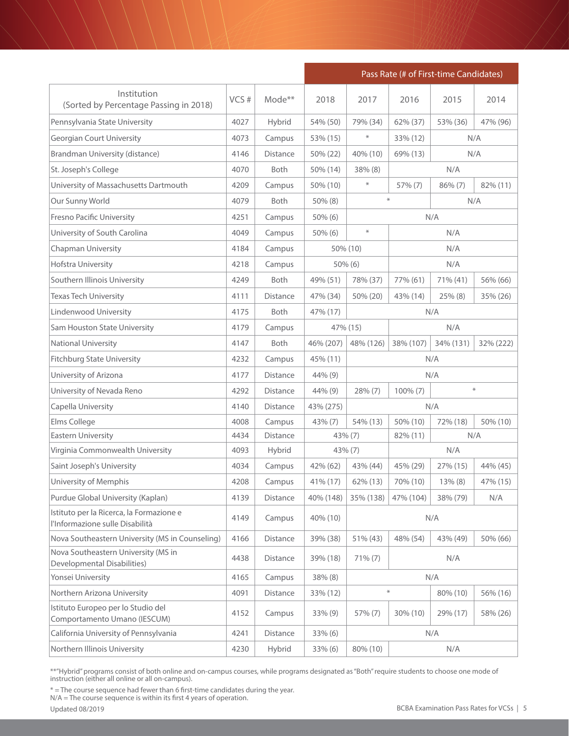|                                                                             |      |             | Pass Rate (# of First-time Candidates) |               |           |           |           |  |
|-----------------------------------------------------------------------------|------|-------------|----------------------------------------|---------------|-----------|-----------|-----------|--|
| Institution<br>(Sorted by Percentage Passing in 2018)                       | VCS# | Mode**      | 2018                                   | 2017          | 2016      | 2015      | 2014      |  |
| Pennsylvania State University                                               | 4027 | Hybrid      | 54% (50)                               | 79% (34)      | 62% (37)  | 53% (36)  | 47% (96)  |  |
| <b>Georgian Court University</b>                                            | 4073 | Campus      | 53% (15)                               | $\ast$        | 33% (12)  | N/A       |           |  |
| Brandman University (distance)                                              | 4146 | Distance    | 50% (22)                               | 40% (10)      | 69% (13)  | N/A       |           |  |
| St. Joseph's College                                                        | 4070 | Both        | 50% (14)                               | 38% (8)       |           | N/A       |           |  |
| University of Massachusetts Dartmouth                                       | 4209 | Campus      | 50% (10)                               | $\ast$        | 57% (7)   | 86% (7)   | 82% (11)  |  |
| Our Sunny World                                                             | 4079 | <b>Both</b> | 50% (8)                                | $\ast$<br>N/A |           |           |           |  |
| Fresno Pacific University                                                   | 4251 | Campus      | $50\%$ (6)                             |               |           | N/A       |           |  |
| University of South Carolina                                                | 4049 | Campus      | $50\%$ (6)                             | $\ast$        |           | N/A       |           |  |
| Chapman University                                                          | 4184 | Campus      |                                        | 50% (10)      |           | N/A       |           |  |
| Hofstra University                                                          | 4218 | Campus      |                                        | $50\%$ (6)    |           | N/A       |           |  |
| Southern Illinois University                                                | 4249 | <b>Both</b> | 49% (51)                               | 78% (37)      | 77% (61)  | 71% (41)  | 56% (66)  |  |
| <b>Texas Tech University</b>                                                | 4111 | Distance    | 47% (34)                               | 50% (20)      | 43% (14)  | 25% (8)   | 35% (26)  |  |
| Lindenwood University                                                       | 4175 | Both        | 47% (17)                               |               | N/A       |           |           |  |
| Sam Houston State University                                                | 4179 | Campus      | 47% (15)                               |               | N/A       |           |           |  |
| National University                                                         | 4147 | Both        | 46% (207)                              | 48% (126)     | 38% (107) | 34% (131) | 32% (222) |  |
| <b>Fitchburg State University</b>                                           | 4232 | Campus      | 45% (11)                               |               |           | N/A       |           |  |
| University of Arizona                                                       | 4177 | Distance    | 44% (9)                                |               | N/A       |           |           |  |
| University of Nevada Reno                                                   | 4292 | Distance    | 44% (9)                                | 28% (7)       | 100% (7)  |           | $\ast$    |  |
| Capella University                                                          | 4140 | Distance    | 43% (275)                              |               |           | N/A       |           |  |
| Elms College                                                                | 4008 | Campus      | 43% (7)                                | 54% (13)      | 50% (10)  | 72% (18)  | 50% (10)  |  |
| <b>Eastern University</b>                                                   | 4434 | Distance    | 43% (7)                                |               | 82% (11)  | N/A       |           |  |
| Virginia Commonwealth University                                            | 4093 | Hybrid      | $43\%$ (7)                             |               |           | N/A       |           |  |
| Saint Joseph's University                                                   | 4034 | Campus      | 42% (62)                               | 43% (44)      | 45% (29)  | 27% (15)  | 44% (45)  |  |
| University of Memphis                                                       | 4208 | Campus      | 41% (17)                               | 62% (13)      | 70% (10)  | 13% (8)   | 47% (15)  |  |
| Purdue Global University (Kaplan)                                           | 4139 | Distance    | 40% (148)                              | 35% (138)     | 47% (104) | 38% (79)  | N/A       |  |
| Istituto per la Ricerca, la Formazione e<br>l'Informazione sulle Disabilità | 4149 | Campus      | 40% (10)                               |               |           | N/A       |           |  |
| Nova Southeastern University (MS in Counseling)                             | 4166 | Distance    | 39% (38)                               | 51% (43)      | 48% (54)  | 43% (49)  | 50% (66)  |  |
| Nova Southeastern University (MS in<br>Developmental Disabilities)          | 4438 | Distance    | 39% (18)                               | $71\% (7)$    |           | N/A       |           |  |
| Yonsei University                                                           | 4165 | Campus      | 38% (8)                                |               |           | N/A       |           |  |
| Northern Arizona University                                                 | 4091 | Distance    | 33% (12)                               |               | $\ast$    | 80% (10)  | 56% (16)  |  |
| Istituto Europeo per lo Studio del<br>Comportamento Umano (IESCUM)          | 4152 | Campus      | 33% (9)                                | 57% (7)       | 30% (10)  | 29% (17)  | 58% (26)  |  |
| California University of Pennsylvania                                       | 4241 | Distance    | $33\%$ (6)                             |               |           | N/A       |           |  |
| Northern Illinois University                                                | 4230 | Hybrid      | 33% (6)                                | 80% (10)      |           | N/A       |           |  |

\* = The course sequence had fewer than 6 first-time candidates during the year.

N/A = The course sequence is within its first 4 years of operation.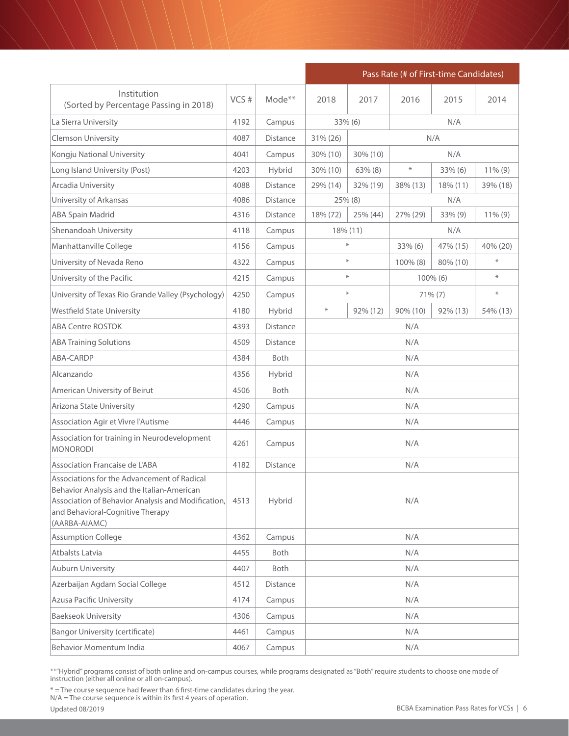|                                                                                                                                                                                                      |      |                 | Pass Rate (# of First-time Candidates) |                  |          |             |            |  |
|------------------------------------------------------------------------------------------------------------------------------------------------------------------------------------------------------|------|-----------------|----------------------------------------|------------------|----------|-------------|------------|--|
| Institution<br>(Sorted by Percentage Passing in 2018)                                                                                                                                                | VCS# | Mode**          | 2018                                   | 2017             | 2016     | 2015        | 2014       |  |
| La Sierra University                                                                                                                                                                                 | 4192 | Campus          |                                        | 33% (6)          |          | N/A         |            |  |
| Clemson University                                                                                                                                                                                   | 4087 | <b>Distance</b> | 31% (26)                               |                  | N/A      |             |            |  |
| Kongju National University                                                                                                                                                                           | 4041 | Campus          | 30% (10)<br>30% (10)<br>N/A            |                  |          |             |            |  |
| Long Island University (Post)                                                                                                                                                                        | 4203 | Hybrid          | 30% (10)                               | $63\%$ $(8)$     | $\ast$   | 33% (6)     | $11\%$ (9) |  |
| Arcadia University                                                                                                                                                                                   | 4088 | <b>Distance</b> | 29% (14)                               | 32% (19)         | 38% (13) | 18% (11)    | 39% (18)   |  |
| University of Arkansas                                                                                                                                                                               | 4086 | Distance        |                                        | 25% (8)          |          | N/A         |            |  |
| <b>ABA Spain Madrid</b>                                                                                                                                                                              | 4316 | <b>Distance</b> | 18% (72)                               | 25% (44)         | 27% (29) | 33% (9)     | $11\%$ (9) |  |
| Shenandoah University                                                                                                                                                                                | 4118 | Campus          |                                        | 18% (11)         |          | N/A         |            |  |
| Manhattanville College                                                                                                                                                                               | 4156 | Campus          |                                        | $\divideontimes$ | 33% (6)  | 47% (15)    | 40% (20)   |  |
| University of Nevada Reno                                                                                                                                                                            | 4322 | Campus          |                                        | $\divideontimes$ | 100% (8) | 80% (10)    | $\ast$     |  |
| University of the Pacific                                                                                                                                                                            | 4215 | Campus          |                                        | $\ast$           |          | $100\%$ (6) | $\ast$     |  |
| University of Texas Rio Grande Valley (Psychology)                                                                                                                                                   | 4250 | Campus          |                                        | $\ast$           |          | $71\% (7)$  | $\ast$     |  |
| <b>Westfield State University</b>                                                                                                                                                                    | 4180 | Hybrid          | $\ast$                                 | 92% (12)         | 90% (10) | 92% (13)    | 54% (13)   |  |
| <b>ABA Centre ROSTOK</b>                                                                                                                                                                             | 4393 | <b>Distance</b> |                                        |                  | N/A      |             |            |  |
| <b>ABA Training Solutions</b>                                                                                                                                                                        | 4509 | Distance        |                                        |                  | N/A      |             |            |  |
| ABA-CARDP                                                                                                                                                                                            | 4384 | <b>Both</b>     |                                        |                  | N/A      |             |            |  |
| Alcanzando                                                                                                                                                                                           | 4356 | Hybrid          |                                        |                  | N/A      |             |            |  |
| American University of Beirut                                                                                                                                                                        | 4506 | <b>Both</b>     |                                        |                  | N/A      |             |            |  |
| Arizona State University                                                                                                                                                                             | 4290 | Campus          |                                        |                  | N/A      |             |            |  |
| Association Agir et Vivre l'Autisme                                                                                                                                                                  | 4446 | Campus          |                                        |                  | N/A      |             |            |  |
| Association for training in Neurodevelopment<br><b>MONORODI</b>                                                                                                                                      | 4261 | Campus          |                                        |                  | N/A      |             |            |  |
| Association Francaise de L'ABA                                                                                                                                                                       | 4182 | <b>Distance</b> |                                        |                  | N/A      |             |            |  |
| Associations for the Advancement of Radical<br>Behavior Analysis and the Italian-American<br>Association of Behavior Analysis and Modification,<br>and Behavioral-Cognitive Therapy<br>(AARBA-AIAMC) | 4513 | Hybrid          | N/A                                    |                  |          |             |            |  |
| <b>Assumption College</b>                                                                                                                                                                            | 4362 | Campus          |                                        |                  | N/A      |             |            |  |
| Atbalsts Latvia                                                                                                                                                                                      | 4455 | Both            |                                        |                  | N/A      |             |            |  |
| <b>Auburn University</b>                                                                                                                                                                             | 4407 | Both            |                                        |                  | N/A      |             |            |  |
| Azerbaijan Agdam Social College                                                                                                                                                                      | 4512 | Distance        |                                        |                  | N/A      |             |            |  |
| <b>Azusa Pacific University</b>                                                                                                                                                                      | 4174 | Campus          |                                        |                  | N/A      |             |            |  |
| <b>Baekseok University</b>                                                                                                                                                                           | 4306 | Campus          |                                        |                  | N/A      |             |            |  |
| <b>Bangor University (certificate)</b>                                                                                                                                                               | 4461 | Campus          |                                        |                  | N/A      |             |            |  |
| Behavior Momentum India                                                                                                                                                                              | 4067 | Campus          |                                        |                  | N/A      |             |            |  |

\* = The course sequence had fewer than 6 first-time candidates during the year.

N/A = The course sequence is within its first 4 years of operation.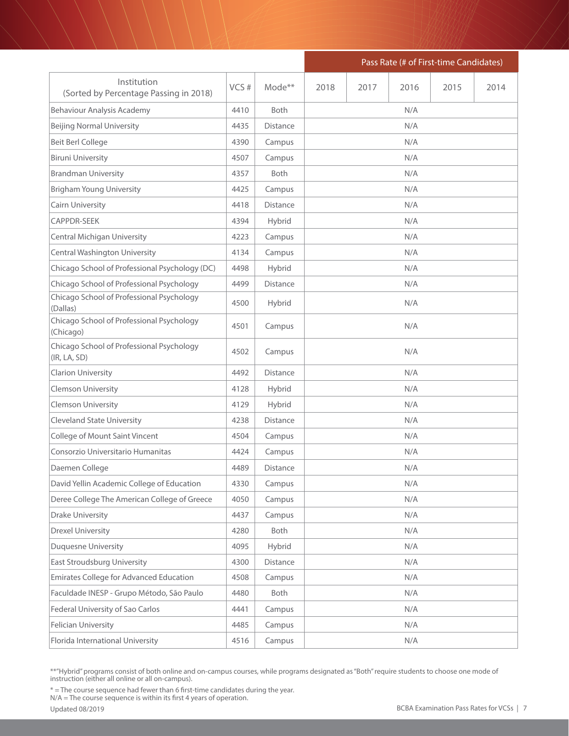|                                                           |      |                 | Pass Rate (# of First-time Candidates) |      |      |      |      |  |  |
|-----------------------------------------------------------|------|-----------------|----------------------------------------|------|------|------|------|--|--|
| Institution<br>(Sorted by Percentage Passing in 2018)     | VCS# | Mode**          | 2018                                   | 2017 | 2016 | 2015 | 2014 |  |  |
| Behaviour Analysis Academy                                | 4410 | Both            |                                        |      | N/A  |      |      |  |  |
| <b>Beijing Normal University</b>                          | 4435 | <b>Distance</b> |                                        |      | N/A  |      |      |  |  |
| <b>Beit Berl College</b>                                  | 4390 | Campus          |                                        |      | N/A  |      |      |  |  |
| <b>Biruni University</b>                                  | 4507 | Campus          | N/A                                    |      |      |      |      |  |  |
| <b>Brandman University</b>                                | 4357 | <b>Both</b>     | N/A                                    |      |      |      |      |  |  |
| <b>Brigham Young University</b>                           | 4425 | Campus          |                                        |      | N/A  |      |      |  |  |
| Cairn University                                          | 4418 | Distance        |                                        |      | N/A  |      |      |  |  |
| <b>CAPPDR-SEEK</b>                                        | 4394 | Hybrid          |                                        |      | N/A  |      |      |  |  |
| <b>Central Michigan University</b>                        | 4223 | Campus          |                                        |      | N/A  |      |      |  |  |
| Central Washington University                             | 4134 | Campus          |                                        |      | N/A  |      |      |  |  |
| Chicago School of Professional Psychology (DC)            | 4498 | Hybrid          |                                        |      | N/A  |      |      |  |  |
| Chicago School of Professional Psychology                 | 4499 | <b>Distance</b> |                                        |      | N/A  |      |      |  |  |
| Chicago School of Professional Psychology<br>(Dallas)     | 4500 | Hybrid          |                                        |      | N/A  |      |      |  |  |
| Chicago School of Professional Psychology<br>(Chicago)    | 4501 | Campus          | N/A                                    |      |      |      |      |  |  |
| Chicago School of Professional Psychology<br>(IR, LA, SD) | 4502 | Campus          | N/A                                    |      |      |      |      |  |  |
| Clarion University                                        | 4492 | Distance        |                                        |      | N/A  |      |      |  |  |
| <b>Clemson University</b>                                 | 4128 | Hybrid          |                                        |      | N/A  |      |      |  |  |
| <b>Clemson University</b>                                 | 4129 | Hybrid          |                                        |      | N/A  |      |      |  |  |
| <b>Cleveland State University</b>                         | 4238 | Distance        |                                        |      | N/A  |      |      |  |  |
| College of Mount Saint Vincent                            | 4504 | Campus          |                                        |      | N/A  |      |      |  |  |
| Consorzio Universitario Humanitas                         | 4424 | Campus          |                                        |      | N/A  |      |      |  |  |
| Daemen College                                            | 4489 | Distance        |                                        |      | N/A  |      |      |  |  |
| David Yellin Academic College of Education                | 4330 | Campus          |                                        |      | N/A  |      |      |  |  |
| Deree College The American College of Greece              | 4050 | Campus          |                                        |      | N/A  |      |      |  |  |
| <b>Drake University</b>                                   | 4437 | Campus          |                                        |      | N/A  |      |      |  |  |
| <b>Drexel University</b>                                  | 4280 | Both            |                                        |      | N/A  |      |      |  |  |
| Duquesne University                                       | 4095 | Hybrid          |                                        |      | N/A  |      |      |  |  |
| East Stroudsburg University                               | 4300 | Distance        |                                        |      | N/A  |      |      |  |  |
| Emirates College for Advanced Education                   | 4508 | Campus          |                                        |      | N/A  |      |      |  |  |
| Faculdade INESP - Grupo Método, São Paulo                 | 4480 | Both            |                                        |      | N/A  |      |      |  |  |
| Federal University of Sao Carlos                          | 4441 | Campus          | N/A                                    |      |      |      |      |  |  |
| Felician University                                       | 4485 | Campus          |                                        |      | N/A  |      |      |  |  |
| Florida International University                          | 4516 | Campus          |                                        |      | N/A  |      |      |  |  |

\* = The course sequence had fewer than 6 first-time candidates during the year.

N/A = The course sequence is within its first 4 years of operation.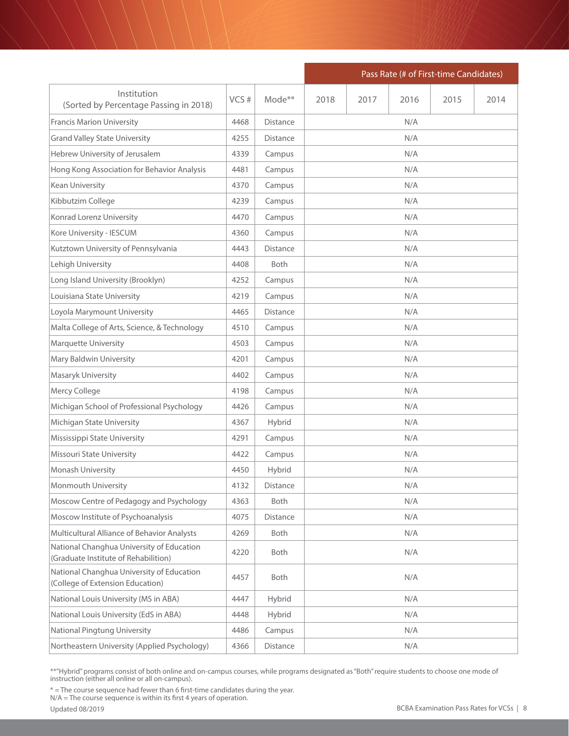|                                                                                   |      |                    | Pass Rate (# of First-time Candidates) |      |      |      |      |  |  |
|-----------------------------------------------------------------------------------|------|--------------------|----------------------------------------|------|------|------|------|--|--|
| Institution<br>(Sorted by Percentage Passing in 2018)                             | VCS# | Mode <sup>**</sup> | 2018                                   | 2017 | 2016 | 2015 | 2014 |  |  |
| <b>Francis Marion University</b>                                                  | 4468 | <b>Distance</b>    |                                        |      | N/A  |      |      |  |  |
| <b>Grand Valley State University</b>                                              | 4255 | <b>Distance</b>    |                                        |      | N/A  |      |      |  |  |
| Hebrew University of Jerusalem                                                    | 4339 | Campus             |                                        |      | N/A  |      |      |  |  |
| Hong Kong Association for Behavior Analysis                                       | 4481 | Campus             | N/A                                    |      |      |      |      |  |  |
| Kean University                                                                   | 4370 | Campus             |                                        |      | N/A  |      |      |  |  |
| Kibbutzim College                                                                 | 4239 | Campus             |                                        |      | N/A  |      |      |  |  |
| Konrad Lorenz University                                                          | 4470 | Campus             |                                        |      | N/A  |      |      |  |  |
| Kore University - IESCUM                                                          | 4360 | Campus             |                                        |      | N/A  |      |      |  |  |
| Kutztown University of Pennsylvania                                               | 4443 | <b>Distance</b>    |                                        |      | N/A  |      |      |  |  |
| Lehigh University                                                                 | 4408 | <b>Both</b>        |                                        |      | N/A  |      |      |  |  |
| Long Island University (Brooklyn)                                                 | 4252 | Campus             |                                        |      | N/A  |      |      |  |  |
| Louisiana State University                                                        | 4219 | Campus             |                                        |      | N/A  |      |      |  |  |
| Loyola Marymount University                                                       | 4465 | Distance           |                                        |      | N/A  |      |      |  |  |
| Malta College of Arts, Science, & Technology                                      | 4510 | Campus             |                                        |      | N/A  |      |      |  |  |
| <b>Marquette University</b>                                                       | 4503 | Campus             |                                        |      | N/A  |      |      |  |  |
| Mary Baldwin University                                                           | 4201 | Campus             |                                        |      | N/A  |      |      |  |  |
| Masaryk University                                                                | 4402 | Campus             |                                        |      | N/A  |      |      |  |  |
| Mercy College                                                                     | 4198 | Campus             |                                        |      | N/A  |      |      |  |  |
| Michigan School of Professional Psychology                                        | 4426 | Campus             |                                        |      | N/A  |      |      |  |  |
| Michigan State University                                                         | 4367 | Hybrid             |                                        |      | N/A  |      |      |  |  |
| Mississippi State University                                                      | 4291 | Campus             |                                        |      | N/A  |      |      |  |  |
| Missouri State University                                                         | 4422 | Campus             |                                        |      | N/A  |      |      |  |  |
| Monash University                                                                 | 4450 | Hybrid             |                                        |      | N/A  |      |      |  |  |
| Monmouth University                                                               | 4132 | Distance           |                                        |      | N/A  |      |      |  |  |
| Moscow Centre of Pedagogy and Psychology                                          | 4363 | Both               |                                        |      | N/A  |      |      |  |  |
| Moscow Institute of Psychoanalysis                                                | 4075 | Distance           |                                        |      | N/A  |      |      |  |  |
| Multicultural Alliance of Behavior Analysts                                       | 4269 | Both               |                                        |      | N/A  |      |      |  |  |
| National Changhua University of Education<br>(Graduate Institute of Rehabilition) | 4220 | Both               |                                        |      | N/A  |      |      |  |  |
| National Changhua University of Education<br>(College of Extension Education)     | 4457 | Both               |                                        |      | N/A  |      |      |  |  |
| National Louis University (MS in ABA)                                             | 4447 | Hybrid             |                                        |      | N/A  |      |      |  |  |
| National Louis University (EdS in ABA)                                            | 4448 | Hybrid             |                                        |      | N/A  |      |      |  |  |
| National Pingtung University                                                      | 4486 | Campus             |                                        |      | N/A  |      |      |  |  |
| Northeastern University (Applied Psychology)                                      | 4366 | Distance           |                                        |      | N/A  |      |      |  |  |

\* = The course sequence had fewer than 6 first-time candidates during the year.

N/A = The course sequence is within its first 4 years of operation.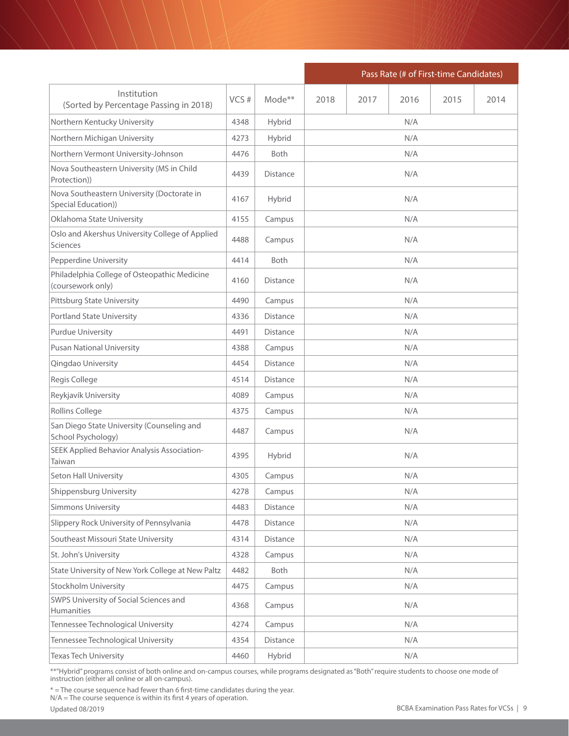|                                                                    |      |                 | Pass Rate (# of First-time Candidates) |      |      |      |      |  |  |
|--------------------------------------------------------------------|------|-----------------|----------------------------------------|------|------|------|------|--|--|
| Institution<br>(Sorted by Percentage Passing in 2018)              | VCS# | Mode**          | 2018                                   | 2017 | 2016 | 2015 | 2014 |  |  |
| Northern Kentucky University                                       | 4348 | Hybrid          | N/A                                    |      |      |      |      |  |  |
| Northern Michigan University                                       | 4273 | Hybrid          |                                        |      | N/A  |      |      |  |  |
| Northern Vermont University-Johnson                                | 4476 | Both            | N/A                                    |      |      |      |      |  |  |
| Nova Southeastern University (MS in Child<br>Protection))          | 4439 | <b>Distance</b> | N/A                                    |      |      |      |      |  |  |
| Nova Southeastern University (Doctorate in<br>Special Education))  | 4167 | Hybrid          | N/A                                    |      |      |      |      |  |  |
| Oklahoma State University                                          | 4155 | Campus          |                                        |      | N/A  |      |      |  |  |
| Oslo and Akershus University College of Applied<br><b>Sciences</b> | 4488 | Campus          |                                        |      | N/A  |      |      |  |  |
| Pepperdine University                                              | 4414 | Both            |                                        |      | N/A  |      |      |  |  |
| Philadelphia College of Osteopathic Medicine<br>(coursework only)  | 4160 | Distance        |                                        |      | N/A  |      |      |  |  |
| <b>Pittsburg State University</b>                                  | 4490 | Campus          |                                        |      | N/A  |      |      |  |  |
| <b>Portland State University</b>                                   | 4336 | <b>Distance</b> |                                        |      | N/A  |      |      |  |  |
| <b>Purdue University</b>                                           | 4491 | Distance        |                                        |      | N/A  |      |      |  |  |
| <b>Pusan National University</b>                                   | 4388 | Campus          | N/A                                    |      |      |      |      |  |  |
| Qingdao University                                                 | 4454 | <b>Distance</b> |                                        |      | N/A  |      |      |  |  |
| Regis College                                                      | 4514 | Distance        |                                        |      | N/A  |      |      |  |  |
| Reykjavík University                                               | 4089 | Campus          |                                        |      | N/A  |      |      |  |  |
| Rollins College                                                    | 4375 | Campus          |                                        |      | N/A  |      |      |  |  |
| San Diego State University (Counseling and<br>School Psychology)   | 4487 | Campus          |                                        |      | N/A  |      |      |  |  |
| SEEK Applied Behavior Analysis Association-<br>Taiwan              | 4395 | Hybrid          |                                        |      | N/A  |      |      |  |  |
| Seton Hall University                                              | 4305 | Campus          |                                        |      | N/A  |      |      |  |  |
| Shippensburg University                                            | 4278 | Campus          |                                        |      | N/A  |      |      |  |  |
| <b>Simmons University</b>                                          | 4483 | Distance        |                                        |      | N/A  |      |      |  |  |
| Slippery Rock University of Pennsylvania                           | 4478 | Distance        |                                        |      | N/A  |      |      |  |  |
| Southeast Missouri State University                                | 4314 | <b>Distance</b> |                                        |      | N/A  |      |      |  |  |
| St. John's University                                              | 4328 | Campus          |                                        |      | N/A  |      |      |  |  |
| State University of New York College at New Paltz                  | 4482 | Both            |                                        |      | N/A  |      |      |  |  |
| <b>Stockholm University</b>                                        | 4475 | Campus          |                                        |      | N/A  |      |      |  |  |
| SWPS University of Social Sciences and<br>Humanities               | 4368 | Campus          |                                        |      | N/A  |      |      |  |  |
| Tennessee Technological University                                 | 4274 | Campus          |                                        |      | N/A  |      |      |  |  |
| Tennessee Technological University                                 | 4354 | Distance        |                                        |      | N/A  |      |      |  |  |
| Texas Tech University                                              | 4460 | Hybrid          |                                        |      | N/A  |      |      |  |  |

\* = The course sequence had fewer than 6 first-time candidates during the year.

N/A = The course sequence is within its first 4 years of operation.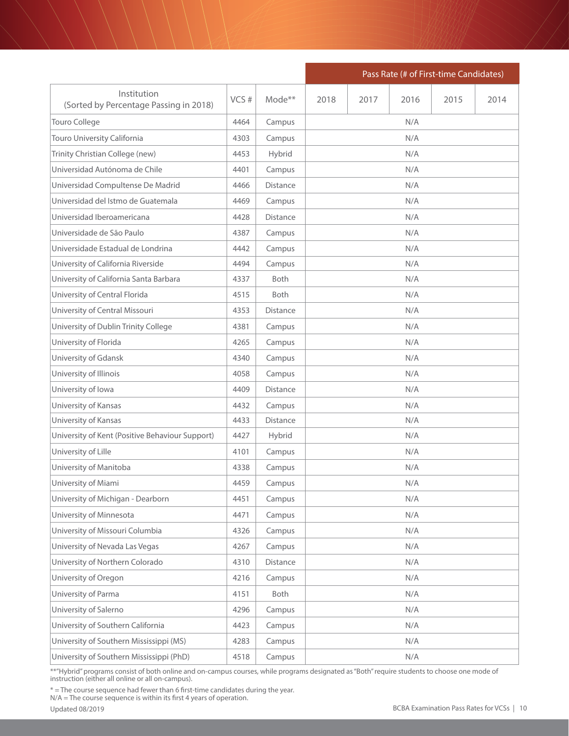|                                                       |      |             | Pass Rate (# of First-time Candidates) |      |      |      |      |  |  |  |
|-------------------------------------------------------|------|-------------|----------------------------------------|------|------|------|------|--|--|--|
| Institution<br>(Sorted by Percentage Passing in 2018) | VCS# | Mode**      | 2018                                   | 2017 | 2016 | 2015 | 2014 |  |  |  |
| Touro College                                         | 4464 | Campus      | N/A                                    |      |      |      |      |  |  |  |
| Touro University California                           | 4303 | Campus      |                                        |      | N/A  |      |      |  |  |  |
| Trinity Christian College (new)                       | 4453 | Hybrid      | N/A                                    |      |      |      |      |  |  |  |
| Universidad Autónoma de Chile                         | 4401 | Campus      |                                        |      | N/A  |      |      |  |  |  |
| Universidad Compultense De Madrid                     | 4466 | Distance    |                                        |      | N/A  |      |      |  |  |  |
| Universidad del Istmo de Guatemala                    | 4469 | Campus      |                                        |      | N/A  |      |      |  |  |  |
| Universidad Iberoamericana                            | 4428 | Distance    |                                        |      | N/A  |      |      |  |  |  |
| Universidade de São Paulo                             | 4387 | Campus      |                                        |      | N/A  |      |      |  |  |  |
| Universidade Estadual de Londrina                     | 4442 | Campus      |                                        |      | N/A  |      |      |  |  |  |
| University of California Riverside                    | 4494 | Campus      |                                        |      | N/A  |      |      |  |  |  |
| University of California Santa Barbara                | 4337 | <b>Both</b> |                                        |      | N/A  |      |      |  |  |  |
| University of Central Florida                         | 4515 | Both        |                                        |      | N/A  |      |      |  |  |  |
| University of Central Missouri                        | 4353 | Distance    |                                        |      | N/A  |      |      |  |  |  |
| University of Dublin Trinity College                  | 4381 | Campus      |                                        |      | N/A  |      |      |  |  |  |
| University of Florida                                 | 4265 | Campus      |                                        |      | N/A  |      |      |  |  |  |
| University of Gdansk                                  | 4340 | Campus      |                                        |      | N/A  |      |      |  |  |  |
| University of Illinois                                | 4058 | Campus      |                                        |      | N/A  |      |      |  |  |  |
| University of Iowa                                    | 4409 | Distance    |                                        |      | N/A  |      |      |  |  |  |
| University of Kansas                                  | 4432 | Campus      |                                        |      | N/A  |      |      |  |  |  |
| University of Kansas                                  | 4433 | Distance    |                                        |      | N/A  |      |      |  |  |  |
| University of Kent (Positive Behaviour Support)       | 4427 | Hybrid      |                                        |      | N/A  |      |      |  |  |  |
| University of Lille                                   | 4101 | Campus      |                                        |      | N/A  |      |      |  |  |  |
| University of Manitoba                                | 4338 | Campus      |                                        |      | N/A  |      |      |  |  |  |
| University of Miami                                   | 4459 | Campus      |                                        |      | N/A  |      |      |  |  |  |
| University of Michigan - Dearborn                     | 4451 | Campus      |                                        |      | N/A  |      |      |  |  |  |
| University of Minnesota                               | 4471 | Campus      |                                        |      | N/A  |      |      |  |  |  |
| University of Missouri Columbia                       | 4326 | Campus      |                                        |      | N/A  |      |      |  |  |  |
| University of Nevada Las Vegas                        | 4267 | Campus      |                                        |      | N/A  |      |      |  |  |  |
| University of Northern Colorado                       | 4310 | Distance    |                                        |      | N/A  |      |      |  |  |  |
| University of Oregon                                  | 4216 | Campus      |                                        |      | N/A  |      |      |  |  |  |
| University of Parma                                   | 4151 | Both        |                                        |      | N/A  |      |      |  |  |  |
| University of Salerno                                 | 4296 | Campus      |                                        |      | N/A  |      |      |  |  |  |
| University of Southern California                     | 4423 | Campus      |                                        |      | N/A  |      |      |  |  |  |
| University of Southern Mississippi (MS)               | 4283 | Campus      |                                        |      | N/A  |      |      |  |  |  |
| University of Southern Mississippi (PhD)              | 4518 | Campus      |                                        |      | N/A  |      |      |  |  |  |

\* = The course sequence had fewer than 6 first-time candidates during the year.

N/A = The course sequence is within its first 4 years of operation.